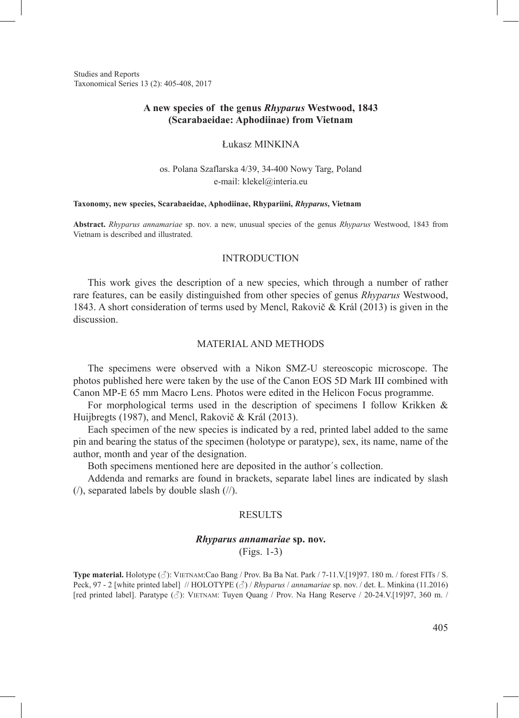Studies and Reports Taxonomical Series 13 (2): 405-408, 2017

# **A new species of the genus** *Rhyparus* **Westwood, 1843 (Scarabaeidae: Aphodiinae) from Vietnam**

Łukasz MINKINA

os. Polana Szaflarska 4/39, 34-400 Nowy Targ, Poland e-mail: klekel@interia.eu

#### **Taxonomy, new species, Scarabaeidae, Aphodiinae, Rhypariini,** *Rhyparus***, Vietnam**

**Abstract.** *Rhyparus annamariae* sp. nov. a new, unusual species of the genus *Rhyparus* Westwood, 1843 from Vietnam is described and illustrated.

#### INTRODUCTION

This work gives the description of a new species, which through a number of rather rare features, can be easily distinguished from other species of genus *Rhyparus* Westwood, 1843. A short consideration of terms used by Mencl, Rakovič & Král (2013) is given in the discussion.

#### MATERIAL AND METHODS

The specimens were observed with a Nikon SMZ-U stereoscopic microscope. The photos published here were taken by the use of the Canon EOS 5D Mark III combined with Canon MP-E 65 mm Macro Lens. Photos were edited in the Helicon Focus programme.

For morphological terms used in the description of specimens I follow Krikken  $\&$ Huijbregts (1987), and Mencl, Rakovič & Král (2013).

Each specimen of the new species is indicated by a red, printed label added to the same pin and bearing the status of the specimen (holotype or paratype), sex, its name, name of the author, month and year of the designation.

Both specimens mentioned here are deposited in the author´s collection.

Addenda and remarks are found in brackets, separate label lines are indicated by slash (/), separated labels by double slash (//).

## **RESULTS**

# *Rhyparus annamariae* **sp. nov.** (Figs. 1-3)

**Type material.** Holotype (♂): Vietnam:Cao Bang / Prov. Ba Ba Nat. Park / 7-11.V.[19]97. 180 m. / forest FITs / S. Peck, 97 - 2 [white printed label] // HOLOTYPE (♂) / *Rhyparus* / *annamariae* sp. nov. / det. Ł. Minkina (11.2016) [red printed label]. Paratype (3): VIETNAM: Tuyen Quang / Prov. Na Hang Reserve / 20-24. V.[19]97, 360 m. /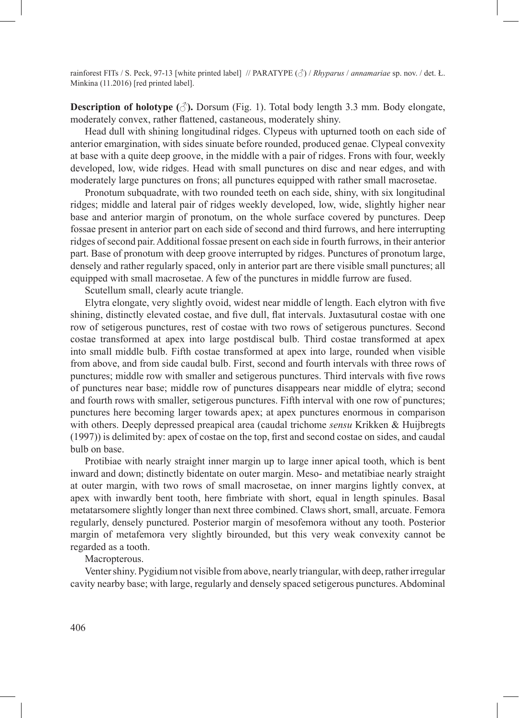rainforest FITs / S. Peck, 97-13 [white printed label] // PARATYPE (♂) / *Rhyparus* / *annamariae* sp. nov. / det. Ł. Minkina (11.2016) [red printed label].

**Description of holotype**  $(\text{A})$ **.** Dorsum (Fig. 1). Total body length 3.3 mm. Body elongate, moderately convex, rather flattened, castaneous, moderately shiny.

Head dull with shining longitudinal ridges. Clypeus with upturned tooth on each side of anterior emargination, with sides sinuate before rounded, produced genae. Clypeal convexity at base with a quite deep groove, in the middle with a pair of ridges. Frons with four, weekly developed, low, wide ridges. Head with small punctures on disc and near edges, and with moderately large punctures on frons; all punctures equipped with rather small macrosetae.

Pronotum subquadrate, with two rounded teeth on each side, shiny, with six longitudinal ridges; middle and lateral pair of ridges weekly developed, low, wide, slightly higher near base and anterior margin of pronotum, on the whole surface covered by punctures. Deep fossae present in anterior part on each side of second and third furrows, and here interrupting ridges of second pair. Additional fossae present on each side in fourth furrows, in their anterior part. Base of pronotum with deep groove interrupted by ridges. Punctures of pronotum large, densely and rather regularly spaced, only in anterior part are there visible small punctures; all equipped with small macrosetae. A few of the punctures in middle furrow are fused.

Scutellum small, clearly acute triangle.

Elytra elongate, very slightly ovoid, widest near middle of length. Each elytron with five shining, distinctly elevated costae, and five dull, flat intervals. Juxtasutural costae with one row of setigerous punctures, rest of costae with two rows of setigerous punctures. Second costae transformed at apex into large postdiscal bulb. Third costae transformed at apex into small middle bulb. Fifth costae transformed at apex into large, rounded when visible from above, and from side caudal bulb. First, second and fourth intervals with three rows of punctures; middle row with smaller and setigerous punctures. Third intervals with five rows of punctures near base; middle row of punctures disappears near middle of elytra; second and fourth rows with smaller, setigerous punctures. Fifth interval with one row of punctures; punctures here becoming larger towards apex; at apex punctures enormous in comparison with others. Deeply depressed preapical area (caudal trichome *sensu* Krikken & Huijbregts (1997)) is delimited by: apex of costae on the top, first and second costae on sides, and caudal bulb on base.

Protibiae with nearly straight inner margin up to large inner apical tooth, which is bent inward and down; distinctly bidentate on outer margin. Meso- and metatibiae nearly straight at outer margin, with two rows of small macrosetae, on inner margins lightly convex, at apex with inwardly bent tooth, here fimbriate with short, equal in length spinules. Basal metatarsomere slightly longer than next three combined. Claws short, small, arcuate. Femora regularly, densely punctured. Posterior margin of mesofemora without any tooth. Posterior margin of metafemora very slightly birounded, but this very weak convexity cannot be regarded as a tooth.

### Macropterous.

Venter shiny. Pygidium not visible from above, nearly triangular, with deep, rather irregular cavity nearby base; with large, regularly and densely spaced setigerous punctures. Abdominal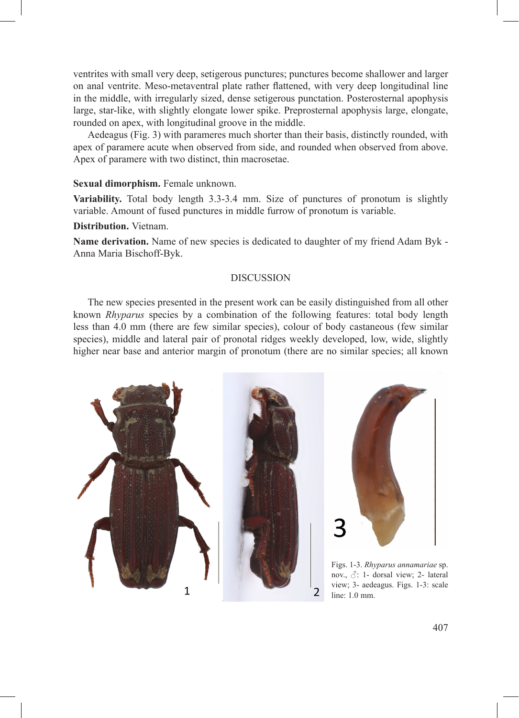ventrites with small very deep, setigerous punctures; punctures become shallower and larger on anal ventrite. Meso-metaventral plate rather flattened, with very deep longitudinal line in the middle, with irregularly sized, dense setigerous punctation. Posterosternal apophysis large, star-like, with slightly elongate lower spike. Preprosternal apophysis large, elongate, rounded on apex, with longitudinal groove in the middle.

Aedeagus (Fig. 3) with parameres much shorter than their basis, distinctly rounded, with apex of paramere acute when observed from side, and rounded when observed from above. Apex of paramere with two distinct, thin macrosetae.

### **Sexual dimorphism.** Female unknown.

**Variability.** Total body length 3.3-3.4 mm. Size of punctures of pronotum is slightly variable. Amount of fused punctures in middle furrow of pronotum is variable.

# **Distribution.** Vietnam.

**Name derivation.** Name of new species is dedicated to daughter of my friend Adam Byk - Anna Maria Bischoff-Byk.

### DISCUSSION

The new species presented in the present work can be easily distinguished from all other known *Rhyparus* species by a combination of the following features: total body length less than 4.0 mm (there are few similar species), colour of body castaneous (few similar species), middle and lateral pair of pronotal ridges weekly developed, low, wide, slightly higher near base and anterior margin of pronotum (there are no similar species; all known